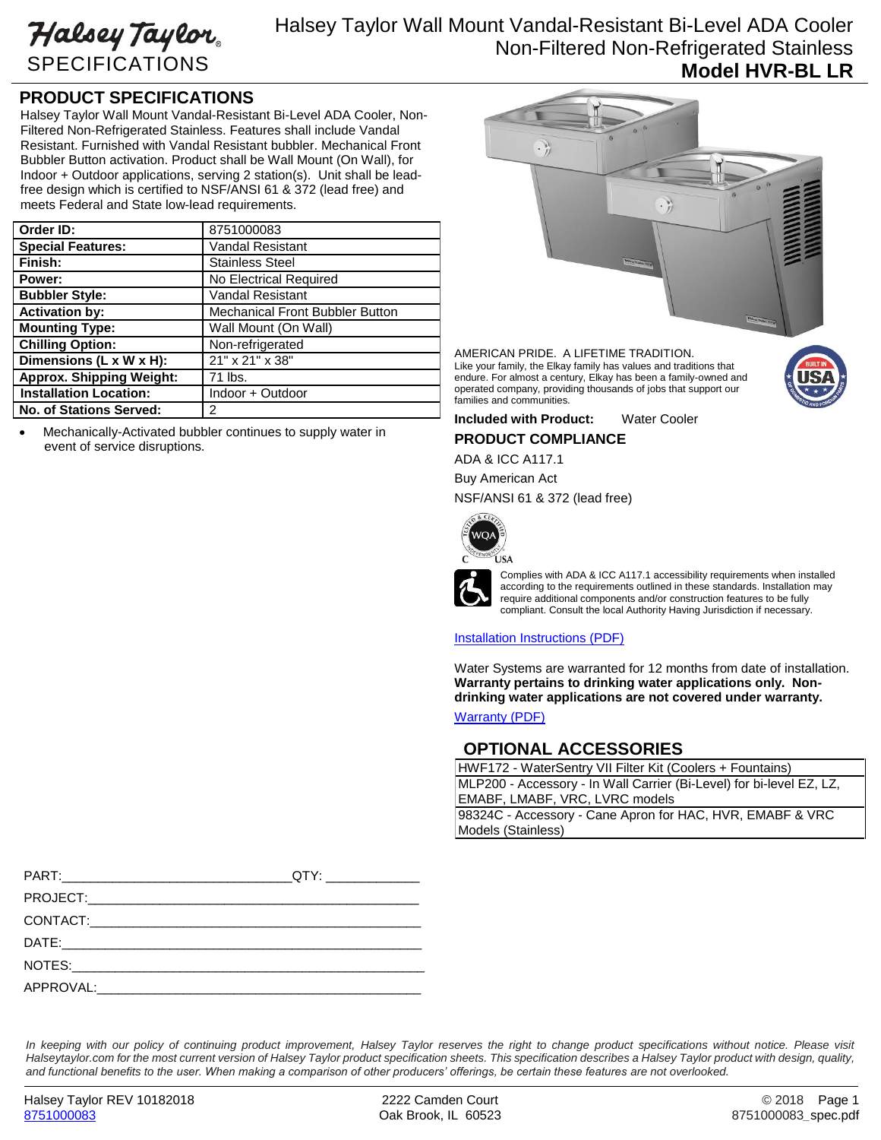Halsey Taylor SPECIFICATIONS

# Halsey Taylor Wall Mount Vandal-Resistant Bi-Level ADA Cooler Non-Filtered Non-Refrigerated Stainless **Model HVR-BL LR**

## **PRODUCT SPECIFICATIONS**

Halsey Taylor Wall Mount Vandal-Resistant Bi-Level ADA Cooler, Non-Filtered Non-Refrigerated Stainless. Features shall include Vandal Resistant. Furnished with Vandal Resistant bubbler. Mechanical Front Bubbler Button activation. Product shall be Wall Mount (On Wall), for Indoor + Outdoor applications, serving 2 station(s). Unit shall be leadfree design which is certified to NSF/ANSI 61 & 372 (lead free) and meets Federal and State low-lead requirements.

| Order ID:                       | 8751000083                             |
|---------------------------------|----------------------------------------|
| <b>Special Features:</b>        | <b>Vandal Resistant</b>                |
| Finish:                         | <b>Stainless Steel</b>                 |
| Power:                          | No Electrical Required                 |
| <b>Bubbler Style:</b>           | <b>Vandal Resistant</b>                |
| <b>Activation by:</b>           | <b>Mechanical Front Bubbler Button</b> |
| <b>Mounting Type:</b>           | Wall Mount (On Wall)                   |
| <b>Chilling Option:</b>         | Non-refrigerated                       |
| Dimensions (L x W x H):         | 21" x 21" x 38"                        |
| <b>Approx. Shipping Weight:</b> | 71 lbs.                                |
| <b>Installation Location:</b>   | Indoor + Outdoor                       |
| <b>No. of Stations Served:</b>  | 2                                      |

 Mechanically-Activated bubbler continues to supply water in event of service disruptions.



AMERICAN PRIDE. A LIFETIME TRADITION. Like your family, the Elkay family has values and traditions that endure. For almost a century, Elkay has been a family-owned and operated company, providing thousands of jobs that support our families and communities.

**Included with Product:** Water Cooler

## **PRODUCT COMPLIANCE**

ADA & ICC A117.1

Buy American Act

NSF/ANSI 61 & 372 (lead free)



Complies with ADA & ICC A117.1 accessibility requirements when installed according to the requirements outlined in these standards. Installation may require additional components and/or construction features to be fully compliant. Consult the local Authority Having Jurisdiction if necessary.

### [Installation Instructions \(PDF\)](http://www.elkay.com/wcsstore/lkdocs/care-cleaning-install-warranty-sheets/98448c.pdf)

Water Systems are warranted for 12 months from date of installation. **Warranty pertains to drinking water applications only. Nondrinking water applications are not covered under warranty.** [Warranty](http://www.elkay.com/wcsstore/lkdocs/care-cleaning-install-warranty-sheets/96994c.pdf) (PDF)

### **OPTIONAL ACCESSORIES**

HWF172 - WaterSentry VII Filter Kit (Coolers + Fountains) MLP200 - Accessory - In Wall Carrier (Bi-Level) for bi-level EZ, LZ, EMABF, LMABF, VRC, LVRC models 98324C - Accessory - Cane Apron for HAC, HVR, EMABF & VRC Models (Stainless)

In keeping with our policy of continuing product improvement, Halsey Taylor reserves the right to change product specifications without notice. Please visit *Halseytaylor.com for the most current version of Halsey Taylor product specification sheets. This specification describes a Halsey Taylor product with design, quality, and functional benefits to the user. When making a comparison of other producers' offerings, be certain these features are not overlooked.*